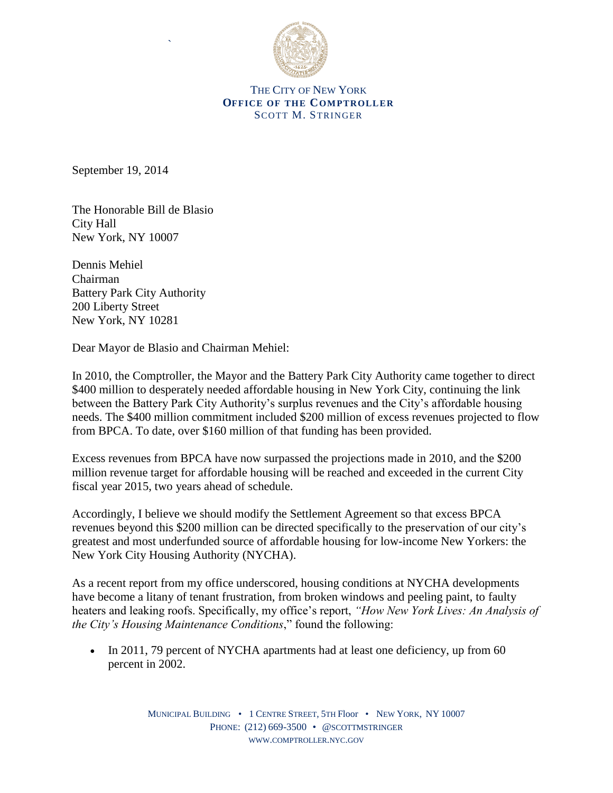

THE CITY OF NEW YORK **OFFICE OF THE COMPTROLLER** SCOTT M. STRINGER

September 19, 2014

The Honorable Bill de Blasio City Hall New York, NY 10007

`

Dennis Mehiel Chairman Battery Park City Authority 200 Liberty Street New York, NY 10281

Dear Mayor de Blasio and Chairman Mehiel:

In 2010, the Comptroller, the Mayor and the Battery Park City Authority came together to direct \$400 million to desperately needed affordable housing in New York City, continuing the link between the Battery Park City Authority's surplus revenues and the City's affordable housing needs. The \$400 million commitment included \$200 million of excess revenues projected to flow from BPCA. To date, over \$160 million of that funding has been provided.

Excess revenues from BPCA have now surpassed the projections made in 2010, and the \$200 million revenue target for affordable housing will be reached and exceeded in the current City fiscal year 2015, two years ahead of schedule.

Accordingly, I believe we should modify the Settlement Agreement so that excess BPCA revenues beyond this \$200 million can be directed specifically to the preservation of our city's greatest and most underfunded source of affordable housing for low-income New Yorkers: the New York City Housing Authority (NYCHA).

As a recent report from my office underscored, housing conditions at NYCHA developments have become a litany of tenant frustration, from broken windows and peeling paint, to faulty heaters and leaking roofs. Specifically, my office's report, *"How New York Lives: An Analysis of the City's Housing Maintenance Conditions*," found the following:

• In 2011, 79 percent of NYCHA apartments had at least one deficiency, up from 60 percent in 2002.

> MUNICIPAL BUILDING • 1 CENTRE STREET, 5TH Floor • NEW YORK, NY 10007 PHONE: (212) 669-3500 • @SCOTTMSTRINGER WWW.[COMPTROLLER](http://www.comptroller.nyc.gov/).NYC.GOV